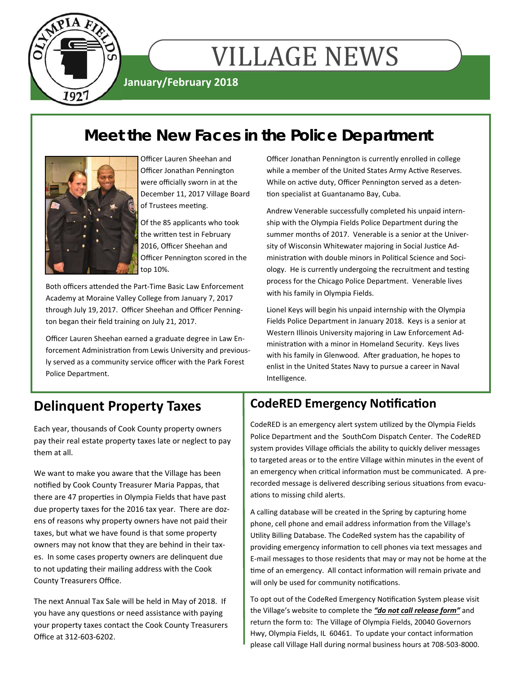

# **VILLAGE NEWS**

**January/February 2018** 

# **Meet the New Faces in the Police Department**



Officer Lauren Sheehan and Officer Jonathan Pennington were officially sworn in at the December 11, 2017 Village Board of Trustees meeting.

Of the 85 applicants who took the written test in February 2016, Officer Sheehan and Officer Pennington scored in the top 10%.

Both officers attended the Part-Time Basic Law Enforcement Academy at Moraine Valley College from January 7, 2017 through July 19, 2017. Officer Sheehan and Officer Penning‐ ton began their field training on July 21, 2017.

Officer Lauren Sheehan earned a graduate degree in Law En‐ forcement Administration from Lewis University and previously served as a community service officer with the Park Forest Police Department.

Officer Jonathan Pennington is currently enrolled in college while a member of the United States Army Active Reserves. While on active duty, Officer Pennington served as a detention specialist at Guantanamo Bay, Cuba.

Andrew Venerable successfully completed his unpaid intern‐ ship with the Olympia Fields Police Department during the summer months of 2017. Venerable is a senior at the Univer‐ sity of Wisconsin Whitewater majoring in Social Justice Administration with double minors in Political Science and Sociology. He is currently undergoing the recruitment and testing process for the Chicago Police Department. Venerable lives with his family in Olympia Fields.

Lionel Keys will begin his unpaid internship with the Olympia Fields Police Department in January 2018. Keys is a senior at Western Illinois University majoring in Law Enforcement Ad‐ ministration with a minor in Homeland Security. Keys lives with his family in Glenwood. After graduation, he hopes to enlist in the United States Navy to pursue a career in Naval Intelligence.

### **Delinquent Property Taxes**

Each year, thousands of Cook County property owners pay their real estate property taxes late or neglect to pay them at all.

We want to make you aware that the Village has been notified by Cook County Treasurer Maria Pappas, that there are 47 properties in Olympia Fields that have past due property taxes for the 2016 tax year. There are doz‐ ens of reasons why property owners have not paid their taxes, but what we have found is that some property owners may not know that they are behind in their tax‐ es. In some cases property owners are delinquent due to not updating their mailing address with the Cook County Treasurers Office.

The next Annual Tax Sale will be held in May of 2018. If you have any questions or need assistance with paying your property taxes contact the Cook County Treasurers Office at 312‐603‐6202.

### **CodeRED Emergency Notification**

CodeRED is an emergency alert system utilized by the Olympia Fields Police Department and the SouthCom Dispatch Center. The CodeRED system provides Village officials the ability to quickly deliver messages to targeted areas or to the entire Village within minutes in the event of an emergency when critical information must be communicated. A prerecorded message is delivered describing serious situations from evacuations to missing child alerts.

A calling database will be created in the Spring by capturing home phone, cell phone and email address information from the Village's Utility Billing Database. The CodeRed system has the capability of providing emergency information to cell phones via text messages and E‐mail messages to those residents that may or may not be home at the time of an emergency. All contact information will remain private and will only be used for community notifications.

To opt out of the CodeRed Emergency Notification System please visit the Village's website to complete the *"do not call release form"* and return the form to: The Village of Olympia Fields, 20040 Governors Hwy, Olympia Fields, IL 60461. To update your contact information please call Village Hall during normal business hours at 708‐503‐8000.